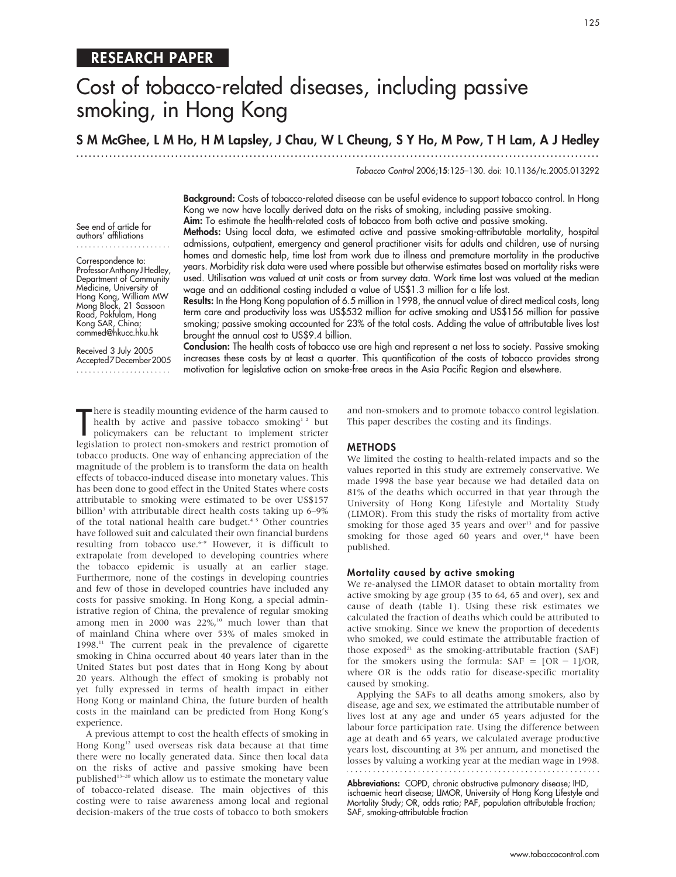# Cost of tobacco-related diseases, including passive smoking, in Hong Kong

S M McGhee, L M Ho, H M Lapsley, J Chau, W L Cheung, S Y Ho, M Pow, T H Lam, A J Hedley

............................................................... ............................................................... .

Tobacco Control 2006;15:125–130. doi: 10.1136/tc.2005.013292

Background: Costs of tobacco-related disease can be useful evidence to support tobacco control. In Hong Kong we now have locally derived data on the risks of smoking, including passive smoking.

Aim: To estimate the health-related costs of tobacco from both active and passive smoking.

See end of article for authors' affiliations .......................

Correspondence to: Professor Anthony J Hedley, Department of Community Medicine, University of Hong Kong, William MW Mong Block, 21 Sassoon Road, Pokfulam, Hong Kong SAR, China; commed@hkucc.hku.hk

Received 3 July 2005 Accepted7December 2005 .......................

Methods: Using local data, we estimated active and passive smoking-attributable mortality, hospital admissions, outpatient, emergency and general practitioner visits for adults and children, use of nursing homes and domestic help, time lost from work due to illness and premature mortality in the productive years. Morbidity risk data were used where possible but otherwise estimates based on mortality risks were used. Utilisation was valued at unit costs or from survey data. Work time lost was valued at the median wage and an additional costing included a value of US\$1.3 million for a life lost.

Results: In the Hong Kong population of 6.5 million in 1998, the annual value of direct medical costs, long term care and productivity loss was US\$532 million for active smoking and US\$156 million for passive smoking; passive smoking accounted for 23% of the total costs. Adding the value of attributable lives lost brought the annual cost to US\$9.4 billion.

Conclusion: The health costs of tobacco use are high and represent a net loss to society. Passive smoking increases these costs by at least a quarter. This quantification of the costs of tobacco provides strong motivation for legislative action on smoke-free areas in the Asia Pacific Region and elsewhere.

There is steadily mounting evidence of the harm caused to<br>health by active and passive tobacco smoking<sup>12</sup> but<br>policymakers can be reluctant to implement stricter<br>legislation to protect non-smokers and restrict promotion o here is steadily mounting evidence of the harm caused to health by active and passive tobacco smoking<sup>12</sup> but policymakers can be reluctant to implement stricter tobacco products. One way of enhancing appreciation of the magnitude of the problem is to transform the data on health effects of tobacco-induced disease into monetary values. This has been done to good effect in the United States where costs attributable to smoking were estimated to be over US\$157 billion<sup>3</sup> with attributable direct health costs taking up 6–9% of the total national health care budget.<sup>45</sup> Other countries have followed suit and calculated their own financial burdens resulting from tobacco use.<sup>6-9</sup> However, it is difficult to extrapolate from developed to developing countries where the tobacco epidemic is usually at an earlier stage. Furthermore, none of the costings in developing countries and few of those in developed countries have included any costs for passive smoking. In Hong Kong, a special administrative region of China, the prevalence of regular smoking among men in 2000 was  $22\%$ ,<sup>10</sup> much lower than that of mainland China where over 53% of males smoked in 1998.11 The current peak in the prevalence of cigarette smoking in China occurred about 40 years later than in the United States but post dates that in Hong Kong by about 20 years. Although the effect of smoking is probably not yet fully expressed in terms of health impact in either Hong Kong or mainland China, the future burden of health costs in the mainland can be predicted from Hong Kong's experience.

A previous attempt to cost the health effects of smoking in Hong Kong<sup>12</sup> used overseas risk data because at that time there were no locally generated data. Since then local data on the risks of active and passive smoking have been published<sup>13-20</sup> which allow us to estimate the monetary value of tobacco-related disease. The main objectives of this costing were to raise awareness among local and regional decision-makers of the true costs of tobacco to both smokers and non-smokers and to promote tobacco control legislation. This paper describes the costing and its findings.

#### METHODS

We limited the costing to health-related impacts and so the values reported in this study are extremely conservative. We made 1998 the base year because we had detailed data on 81% of the deaths which occurred in that year through the University of Hong Kong Lifestyle and Mortality Study (LIMOR). From this study the risks of mortality from active smoking for those aged 35 years and over<sup>13</sup> and for passive smoking for those aged 60 years and over, $14$  have been published.

#### Mortality caused by active smoking

We re-analysed the LIMOR dataset to obtain mortality from active smoking by age group (35 to 64, 65 and over), sex and cause of death (table 1). Using these risk estimates we calculated the fraction of deaths which could be attributed to active smoking. Since we knew the proportion of decedents who smoked, we could estimate the attributable fraction of those exposed<sup>21</sup> as the smoking-attributable fraction (SAF) for the smokers using the formula:  $SAF = [OR - 1]/OR$ , where OR is the odds ratio for disease-specific mortality caused by smoking.

Applying the SAFs to all deaths among smokers, also by disease, age and sex, we estimated the attributable number of lives lost at any age and under 65 years adjusted for the labour force participation rate. Using the difference between age at death and 65 years, we calculated average productive years lost, discounting at 3% per annum, and monetised the losses by valuing a working year at the median wage in 1998.

Abbreviations: COPD, chronic obstructive pulmonary disease; IHD, ischaemic heart disease; LIMOR, University of Hong Kong Lifestyle and Mortality Study; OR, odds ratio; PAF, population attributable fraction; SAF, smoking-attributable fraction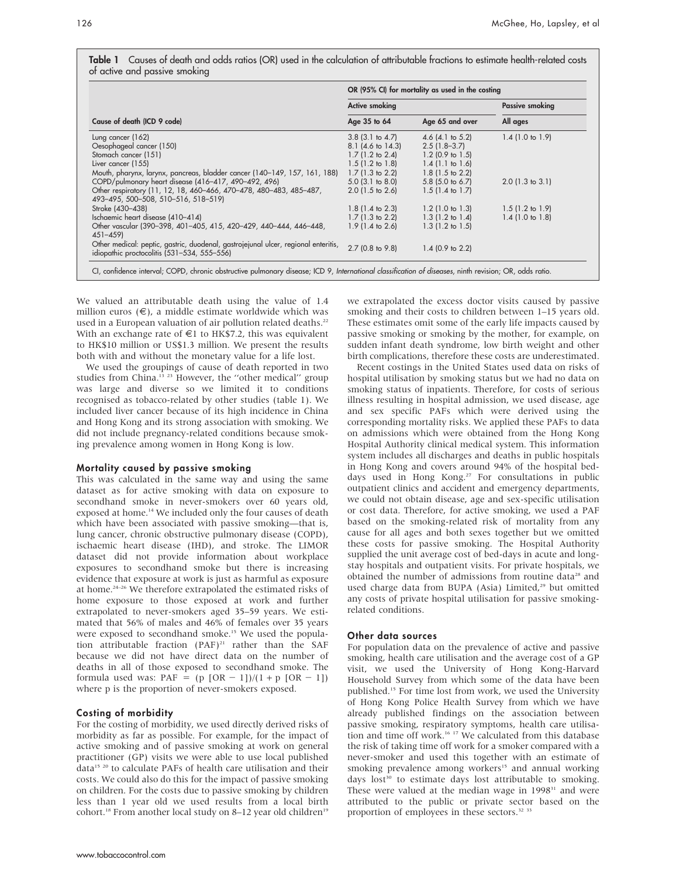Table 1 Causes of death and odds ratios (OR) used in the calculation of attributable fractions to estimate health-related costs of active and passive smoking

| Cause of death (ICD 9 code)                                                                                                       | OR (95% CI) for mortality as used in the costing |                             |                            |
|-----------------------------------------------------------------------------------------------------------------------------------|--------------------------------------------------|-----------------------------|----------------------------|
|                                                                                                                                   | <b>Active smoking</b>                            |                             | <b>Passive smoking</b>     |
|                                                                                                                                   | Age 35 to 64                                     | Age 65 and over             | All ages                   |
| Lung cancer (162)                                                                                                                 | $3.8$ (3.1 to 4.7)                               | 4.6 $(4.1 \text{ to } 5.2)$ | $1.4$ (1.0 to 1.9)         |
| Oesophageal cancer (150)                                                                                                          | $8.1$ (4.6 to 14.3)                              | $2.5(1.8-3.7)$              |                            |
| Stomach cancer (151)                                                                                                              | $1.7$ (1.2 to 2.4)                               | $1.2$ (0.9 to 1.5)          |                            |
| Liver cancer (155)                                                                                                                | $1.5(1.2 \text{ to } 1.8)$                       | $1.4$ (1.1 to 1.6)          |                            |
| Mouth, pharynx, larynx, pancreas, bladder cancer (140–149, 157, 161, 188)                                                         | $1.7(1.3 \text{ to } 2.2)$                       | $1.8$ (1.5 to 2.2)          |                            |
| COPD/pulmonary heart disease (416-417, 490-492, 496)                                                                              | $5.0$ (3.1 to 8.0)                               | $5.8$ (5.0 to 6.7)          | $2.0$ (1.3 to 3.1)         |
| Other respiratory (11, 12, 18, 460-466, 470-478, 480-483, 485-487,<br>493-495, 500-508, 510-516, 518-519)                         | $2.0$ (1.5 to 2.6)                               | $1.5(1.4 \text{ to } 1.7)$  |                            |
| Stroke (430-438)                                                                                                                  | $1.8$ (1.4 to 2.3)                               | $1.2$ (1.0 to 1.3)          | $1.5(1.2 \text{ to } 1.9)$ |
| Ischaemic heart disease (410-414)                                                                                                 | $1.7$ (1.3 to 2.2)                               | $1.3$ (1.2 to 1.4)          | $1.4$ (1.0 to 1.8)         |
| Other vascular (390-398, 401-405, 415, 420-429, 440-444, 446-448,<br>$451 - 459$                                                  | $1.9(1.4 \text{ to } 2.6)$                       | $1.3$ (1.2 to 1.5)          |                            |
| Other medical: peptic, gastric, duodenal, gastrojejunal ulcer, regional enteritis,<br>idiopathic proctocolitis (531-534, 555-556) | 2.7 (0.8 to 9.8)                                 | $1.4$ (0.9 to 2.2)          |                            |

We valued an attributable death using the value of 1.4 million euros  $(\epsilon)$ , a middle estimate worldwide which was used in a European valuation of air pollution related deaths.<sup>22</sup> With an exchange rate of  $\epsilon$ 1 to HK\$7.2, this was equivalent to HK\$10 million or US\$1.3 million. We present the results both with and without the monetary value for a life lost.

We used the groupings of cause of death reported in two studies from China.<sup>13 23</sup> However, the "other medical" group was large and diverse so we limited it to conditions recognised as tobacco-related by other studies (table 1). We included liver cancer because of its high incidence in China and Hong Kong and its strong association with smoking. We did not include pregnancy-related conditions because smoking prevalence among women in Hong Kong is low.

#### Mortality caused by passive smoking

This was calculated in the same way and using the same dataset as for active smoking with data on exposure to secondhand smoke in never-smokers over 60 years old, exposed at home.<sup>14</sup> We included only the four causes of death which have been associated with passive smoking—that is, lung cancer, chronic obstructive pulmonary disease (COPD), ischaemic heart disease (IHD), and stroke. The LIMOR dataset did not provide information about workplace exposures to secondhand smoke but there is increasing evidence that exposure at work is just as harmful as exposure at home.<sup>24-26</sup> We therefore extrapolated the estimated risks of home exposure to those exposed at work and further extrapolated to never-smokers aged 35–59 years. We estimated that 56% of males and 46% of females over 35 years were exposed to secondhand smoke.<sup>15</sup> We used the population attributable fraction  $(PAF)^{21}$  rather than the SAF because we did not have direct data on the number of deaths in all of those exposed to secondhand smoke. The formula used was:  $PAF = (p [OR - 1])/(1 + p [OR - 1])$ where p is the proportion of never-smokers exposed.

#### Costing of morbidity

For the costing of morbidity, we used directly derived risks of morbidity as far as possible. For example, for the impact of active smoking and of passive smoking at work on general practitioner (GP) visits we were able to use local published data<sup>15 20</sup> to calculate PAFs of health care utilisation and their costs. We could also do this for the impact of passive smoking on children. For the costs due to passive smoking by children less than 1 year old we used results from a local birth cohort.<sup>18</sup> From another local study on 8–12 year old children<sup>19</sup>

we extrapolated the excess doctor visits caused by passive smoking and their costs to children between 1–15 years old. These estimates omit some of the early life impacts caused by passive smoking or smoking by the mother, for example, on sudden infant death syndrome, low birth weight and other birth complications, therefore these costs are underestimated.

Recent costings in the United States used data on risks of hospital utilisation by smoking status but we had no data on smoking status of inpatients. Therefore, for costs of serious illness resulting in hospital admission, we used disease, age and sex specific PAFs which were derived using the corresponding mortality risks. We applied these PAFs to data on admissions which were obtained from the Hong Kong Hospital Authority clinical medical system. This information system includes all discharges and deaths in public hospitals in Hong Kong and covers around 94% of the hospital beddays used in Hong Kong.<sup>27</sup> For consultations in public outpatient clinics and accident and emergency departments, we could not obtain disease, age and sex-specific utilisation or cost data. Therefore, for active smoking, we used a PAF based on the smoking-related risk of mortality from any cause for all ages and both sexes together but we omitted these costs for passive smoking. The Hospital Authority supplied the unit average cost of bed-days in acute and longstay hospitals and outpatient visits. For private hospitals, we obtained the number of admissions from routine data<sup>28</sup> and used charge data from BUPA (Asia) Limited,<sup>29</sup> but omitted any costs of private hospital utilisation for passive smokingrelated conditions.

#### Other data sources

For population data on the prevalence of active and passive smoking, health care utilisation and the average cost of a GP visit, we used the University of Hong Kong-Harvard Household Survey from which some of the data have been published.15 For time lost from work, we used the University of Hong Kong Police Health Survey from which we have already published findings on the association between passive smoking, respiratory symptoms, health care utilisation and time off work.<sup>16 17</sup> We calculated from this database the risk of taking time off work for a smoker compared with a never-smoker and used this together with an estimate of smoking prevalence among workers<sup>15</sup> and annual working days lost<sup>30</sup> to estimate days lost attributable to smoking. These were valued at the median wage in 1998<sup>31</sup> and were attributed to the public or private sector based on the proportion of employees in these sectors.32 33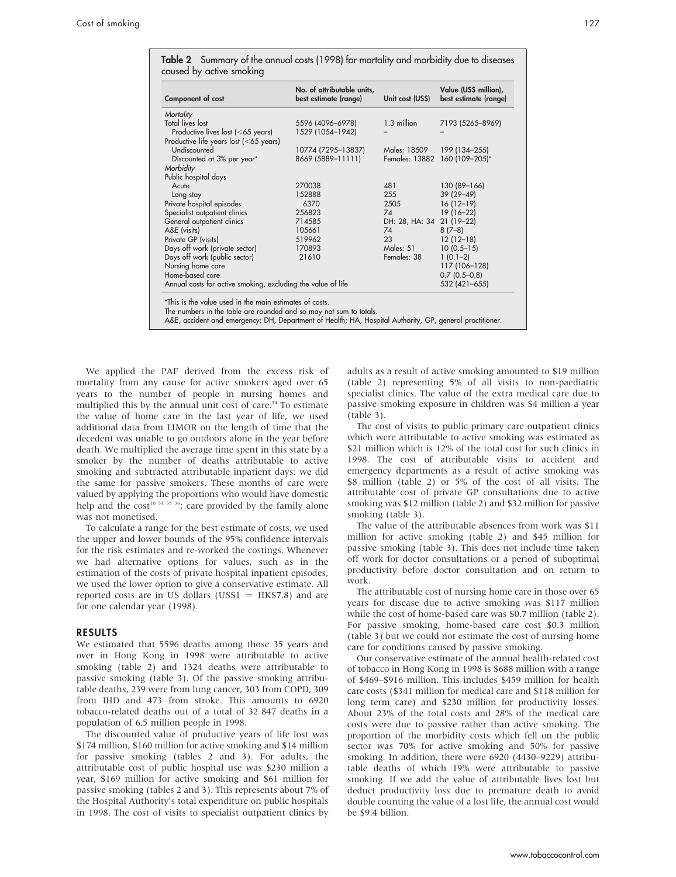| Component of cost                                            | No. of attributable units,<br>best estimate (range) | Unit cost (US\$)      | Value (US\$ million),<br>best estimate (range) |
|--------------------------------------------------------------|-----------------------------------------------------|-----------------------|------------------------------------------------|
| Mortality                                                    |                                                     |                       |                                                |
| <b>Total lives lost</b>                                      | 5596 (4096-6978)                                    | 1.3 million           | 7193 (5265-8969)                               |
| Productive lives lost (<65 years)                            | 1529 (1054-1942)                                    |                       |                                                |
| Productive life years lost $(<$ 65 years)                    |                                                     |                       |                                                |
| Undiscounted                                                 | 10774 (7295-13837)                                  | Males: 18509          | 199 (134-255)                                  |
| Discounted at 3% per year*                                   | 8669 (5889-11111)                                   | <b>Females: 13882</b> | 160 (109-205)*                                 |
| Morbidity                                                    |                                                     |                       |                                                |
| Public hospital days                                         |                                                     |                       |                                                |
| Acute                                                        | 270038                                              | 481                   | 130 (89-166)                                   |
| Long stay                                                    | 152888                                              | 255                   | 39 (29-49)                                     |
| Private hospital episodes                                    | 6370                                                | 2505                  | $16(12-19)$                                    |
| Specialist outpatient clinics                                | 256823                                              | 74                    | $19(16-22)$                                    |
| General outpatient clinics                                   | 714585                                              | DH: 28, HA: 34        | $21(19-22)$                                    |
| A&E (visits)                                                 | 105661                                              | 74                    | $8(7-8)$                                       |
| Private GP (visits)                                          | 519962                                              | 23                    | $12(12-18)$                                    |
| Days off work (private sector)                               | 170893                                              | Males: 51             | $10(0.5 - 15)$                                 |
| Days off work (public sector)                                | 21610                                               | Females: 38           | $1(0.1-2)$                                     |
| Nursing home care                                            |                                                     |                       | 117 (106-128)                                  |
| Home-based care                                              |                                                     |                       | $0.7(0.5-0.8)$                                 |
| Annual costs for active smoking, excluding the value of life | 532 (421-655)                                       |                       |                                                |

The numbers in the table are rounded and so may not sum to totals.

A&E, accident and emergency; DH, Department of Health; HA, Hospital Authority, GP, general practitioner.

We applied the PAF derived from the excess risk of mortality from any cause for active smokers aged over 65 years to the number of people in nursing homes and multiplied this by the annual unit cost of care.<sup>34</sup> To estimate the value of home care in the last year of life, we used additional data from LIMOR on the length of time that the decedent was unable to go outdoors alone in the year before death. We multiplied the average time spent in this state by a smoker by the number of deaths attributable to active smoking and subtracted attributable inpatient days; we did the same for passive smokers. These months of care were valued by applying the proportions who would have domestic help and the cost<sup>10 31 35 36</sup>; care provided by the family alone was not monetised.

To calculate a range for the best estimate of costs, we used the upper and lower bounds of the 95% confidence intervals for the risk estimates and re-worked the costings. Whenever we had alternative options for values, such as in the estimation of the costs of private hospital inpatient episodes, we used the lower option to give a conservative estimate. All reported costs are in US dollars (US\$1 =  $HK$7.8$ ) and are for one calendar year (1998).

#### RESULTS

We estimated that 5596 deaths among those 35 years and over in Hong Kong in 1998 were attributable to active smoking (table 2) and 1324 deaths were attributable to passive smoking (table 3). Of the passive smoking attributable deaths, 239 were from lung cancer, 303 from COPD, 309 from IHD and 473 from stroke. This amounts to 6920 tobacco-related deaths out of a total of 32 847 deaths in a population of 6.5 million people in 1998.

The discounted value of productive years of life lost was \$174 million, \$160 million for active smoking and \$14 million for passive smoking (tables 2 and 3). For adults, the attributable cost of public hospital use was \$230 million a year, \$169 million for active smoking and \$61 million for passive smoking (tables 2 and 3). This represents about 7% of the Hospital Authority's total expenditure on public hospitals in 1998. The cost of visits to specialist outpatient clinics by adults as a result of active smoking amounted to \$19 million (table 2) representing 5% of all visits to non-paediatric specialist clinics. The value of the extra medical care due to passive smoking exposure in children was \$4 million a year (table 3).

The cost of visits to public primary care outpatient clinics which were attributable to active smoking was estimated as \$21 million which is 12% of the total cost for such clinics in 1998. The cost of attributable visits to accident and emergency departments as a result of active smoking was \$8 million (table 2) or 5% of the cost of all visits. The attributable cost of private GP consultations due to active smoking was \$12 million (table 2) and \$32 million for passive smoking (table 3).

The value of the attributable absences from work was \$11 million for active smoking (table 2) and \$45 million for passive smoking (table 3). This does not include time taken off work for doctor consultations or a period of suboptimal productivity before doctor consultation and on return to work.

The attributable cost of nursing home care in those over 65 years for disease due to active smoking was \$117 million while the cost of home-based care was \$0.7 million (table 2). For passive smoking, home-based care cost \$0.3 million (table 3) but we could not estimate the cost of nursing home care for conditions caused by passive smoking.

Our conservative estimate of the annual health-related cost of tobacco in Hong Kong in 1998 is \$688 million with a range of \$469–\$916 million. This includes \$459 million for health care costs (\$341 million for medical care and \$118 million for long term care) and \$230 million for productivity losses. About 23% of the total costs and 28% of the medical care costs were due to passive rather than active smoking. The proportion of the morbidity costs which fell on the public sector was 70% for active smoking and 50% for passive smoking. In addition, there were 6920 (4430–9229) attributable deaths of which 19% were attributable to passive smoking. If we add the value of attributable lives lost but deduct productivity loss due to premature death to avoid double counting the value of a lost life, the annual cost would be \$9.4 billion.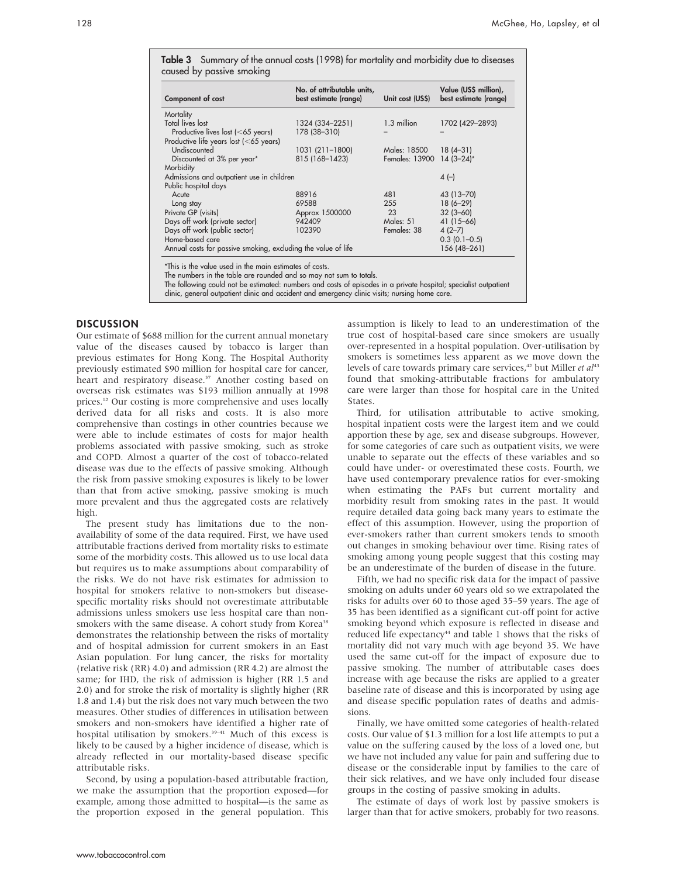| Component of cost                                             | No. of attributable units,<br>best estimate (range) | Unit cost (US\$)          | Value (US\$ million),<br>best estimate (range) |
|---------------------------------------------------------------|-----------------------------------------------------|---------------------------|------------------------------------------------|
| Mortality                                                     |                                                     |                           |                                                |
| Total lives lost                                              | 1324 (334-2251)                                     | 1.3 million               | 1702 (429-2893)                                |
| Productive lives lost (<65 years)                             | 178 (38-310)                                        |                           |                                                |
| Productive life years lost (<65 years)                        |                                                     |                           |                                                |
| Undiscounted                                                  | 1031 (211-1800)                                     | Males: 18500              | $18(4-31)$                                     |
| Discounted at 3% per year*                                    | 815 (168-1423)                                      | Females: 13900 14 (3-24)* |                                                |
| Morbidity                                                     |                                                     |                           |                                                |
| Admissions and outpatient use in children                     |                                                     |                           | $4(-)$                                         |
| Public hospital days                                          |                                                     |                           |                                                |
| Acute                                                         | 88916                                               | 481                       | 43 (13-70)                                     |
| Long stay                                                     | 69588                                               | 255                       | $18(6 - 29)$                                   |
| Private GP (visits)                                           | Approx 1500000                                      | 23                        | $32(3 - 60)$                                   |
| Days off work (private sector)                                | 942409                                              | Males: 51                 | $41(15-66)$                                    |
| Days off work (public sector)                                 | 102390                                              | Females: 38               | 4(2–7)                                         |
| Home-based care                                               |                                                     |                           | $0.3$ (0.1-0.5)                                |
| Annual costs for passive smoking, excluding the value of life |                                                     |                           | 156 (48-261)                                   |

Table 3 Summary of the annual costs (1998) for mortality and morbidity due to diseases

\*This is the value used in the main estimates of costs.

The numbers in the table are rounded and so may not sum to totals.

The following could not be estimated: numbers and costs of episodes in a private hospital; specialist outpatient

clinic, general outpatient clinic and accident and emergency clinic visits; nursing home care.

#### **DISCUSSION**

Our estimate of \$688 million for the current annual monetary value of the diseases caused by tobacco is larger than previous estimates for Hong Kong. The Hospital Authority previously estimated \$90 million for hospital care for cancer, heart and respiratory disease.<sup>37</sup> Another costing based on overseas risk estimates was \$193 million annually at 1998 prices.<sup>12</sup> Our costing is more comprehensive and uses locally derived data for all risks and costs. It is also more comprehensive than costings in other countries because we were able to include estimates of costs for major health problems associated with passive smoking, such as stroke and COPD. Almost a quarter of the cost of tobacco-related disease was due to the effects of passive smoking. Although the risk from passive smoking exposures is likely to be lower than that from active smoking, passive smoking is much more prevalent and thus the aggregated costs are relatively high.

The present study has limitations due to the nonavailability of some of the data required. First, we have used attributable fractions derived from mortality risks to estimate some of the morbidity costs. This allowed us to use local data but requires us to make assumptions about comparability of the risks. We do not have risk estimates for admission to hospital for smokers relative to non-smokers but diseasespecific mortality risks should not overestimate attributable admissions unless smokers use less hospital care than nonsmokers with the same disease. A cohort study from Korea<sup>38</sup> demonstrates the relationship between the risks of mortality and of hospital admission for current smokers in an East Asian population. For lung cancer, the risks for mortality (relative risk (RR) 4.0) and admission (RR 4.2) are almost the same; for IHD, the risk of admission is higher (RR 1.5 and 2.0) and for stroke the risk of mortality is slightly higher (RR 1.8 and 1.4) but the risk does not vary much between the two measures. Other studies of differences in utilisation between smokers and non-smokers have identified a higher rate of hospital utilisation by smokers.<sup>39-41</sup> Much of this excess is likely to be caused by a higher incidence of disease, which is already reflected in our mortality-based disease specific attributable risks.

Second, by using a population-based attributable fraction, we make the assumption that the proportion exposed—for example, among those admitted to hospital—is the same as the proportion exposed in the general population. This assumption is likely to lead to an underestimation of the true cost of hospital-based care since smokers are usually over-represented in a hospital population. Over-utilisation by smokers is sometimes less apparent as we move down the levels of care towards primary care services,<sup>42</sup> but Miller et al<sup>43</sup> found that smoking-attributable fractions for ambulatory care were larger than those for hospital care in the United States.

Third, for utilisation attributable to active smoking, hospital inpatient costs were the largest item and we could apportion these by age, sex and disease subgroups. However, for some categories of care such as outpatient visits, we were unable to separate out the effects of these variables and so could have under- or overestimated these costs. Fourth, we have used contemporary prevalence ratios for ever-smoking when estimating the PAFs but current mortality and morbidity result from smoking rates in the past. It would require detailed data going back many years to estimate the effect of this assumption. However, using the proportion of ever-smokers rather than current smokers tends to smooth out changes in smoking behaviour over time. Rising rates of smoking among young people suggest that this costing may be an underestimate of the burden of disease in the future.

Fifth, we had no specific risk data for the impact of passive smoking on adults under 60 years old so we extrapolated the risks for adults over 60 to those aged 35–59 years. The age of 35 has been identified as a significant cut-off point for active smoking beyond which exposure is reflected in disease and reduced life expectancy<sup>44</sup> and table 1 shows that the risks of mortality did not vary much with age beyond 35. We have used the same cut-off for the impact of exposure due to passive smoking. The number of attributable cases does increase with age because the risks are applied to a greater baseline rate of disease and this is incorporated by using age and disease specific population rates of deaths and admissions.

Finally, we have omitted some categories of health-related costs. Our value of \$1.3 million for a lost life attempts to put a value on the suffering caused by the loss of a loved one, but we have not included any value for pain and suffering due to disease or the considerable input by families to the care of their sick relatives, and we have only included four disease groups in the costing of passive smoking in adults.

The estimate of days of work lost by passive smokers is larger than that for active smokers, probably for two reasons.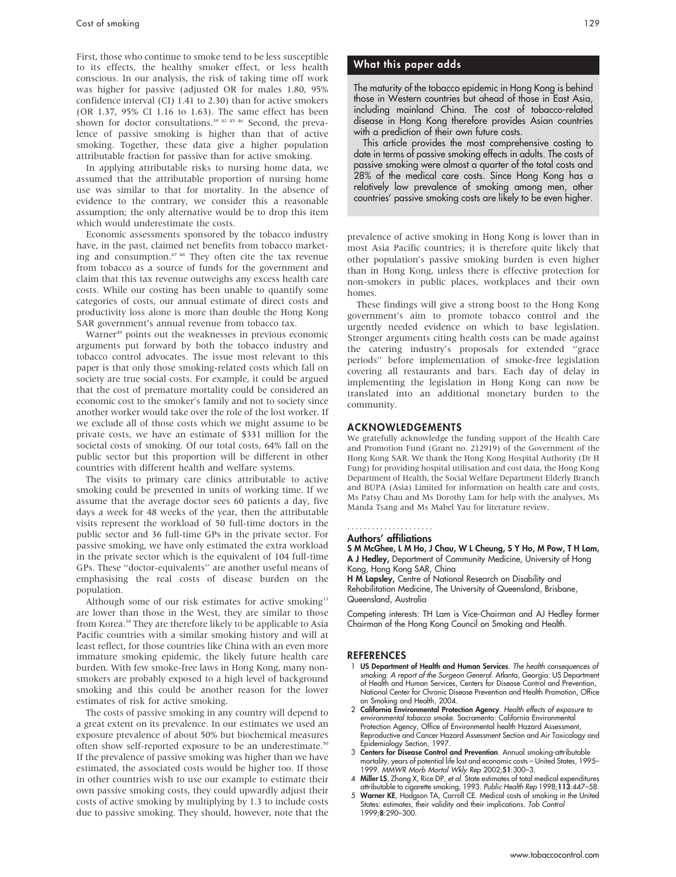First, those who continue to smoke tend to be less susceptible to its effects, the healthy smoker effect, or less health conscious. In our analysis, the risk of taking time off work was higher for passive (adjusted OR for males 1.80, 95% confidence interval (CI) 1.41 to 2.30) than for active smokers (OR 1.37, 95% CI 1.16 to 1.63). The same effect has been shown for doctor consultations.<sup>39 42 45 46</sup> Second, the prevalence of passive smoking is higher than that of active smoking. Together, these data give a higher population attributable fraction for passive than for active smoking.

In applying attributable risks to nursing home data, we assumed that the attributable proportion of nursing home use was similar to that for mortality. In the absence of evidence to the contrary, we consider this a reasonable assumption; the only alternative would be to drop this item which would underestimate the costs.

Economic assessments sponsored by the tobacco industry have, in the past, claimed net benefits from tobacco marketing and consumption.47 48 They often cite the tax revenue from tobacco as a source of funds for the government and claim that this tax revenue outweighs any excess health care costs. While our costing has been unable to quantify some categories of costs, our annual estimate of direct costs and productivity loss alone is more than double the Hong Kong SAR government's annual revenue from tobacco tax.

Warner<sup>49</sup> points out the weaknesses in previous economic arguments put forward by both the tobacco industry and tobacco control advocates. The issue most relevant to this paper is that only those smoking-related costs which fall on society are true social costs. For example, it could be argued that the cost of premature mortality could be considered an economic cost to the smoker's family and not to society since another worker would take over the role of the lost worker. If we exclude all of those costs which we might assume to be private costs, we have an estimate of \$331 million for the societal costs of smoking. Of our total costs, 64% fall on the public sector but this proportion will be different in other countries with different health and welfare systems.

The visits to primary care clinics attributable to active smoking could be presented in units of working time. If we assume that the average doctor sees 60 patients a day, five days a week for 48 weeks of the year, then the attributable visits represent the workload of 50 full-time doctors in the public sector and 36 full-time GPs in the private sector. For passive smoking, we have only estimated the extra workload in the private sector which is the equivalent of 104 full-time GPs. These ''doctor-equivalents'' are another useful means of emphasising the real costs of disease burden on the population.

Although some of our risk estimates for active smoking<sup>13</sup> are lower than those in the West, they are similar to those from Korea.<sup>38</sup> They are therefore likely to be applicable to Asia Pacific countries with a similar smoking history and will at least reflect, for those countries like China with an even more immature smoking epidemic, the likely future health care burden. With few smoke-free laws in Hong Kong, many nonsmokers are probably exposed to a high level of background smoking and this could be another reason for the lower estimates of risk for active smoking.

The costs of passive smoking in any country will depend to a great extent on its prevalence. In our estimates we used an exposure prevalence of about 50% but biochemical measures often show self-reported exposure to be an underestimate.<sup>50</sup> If the prevalence of passive smoking was higher than we have estimated, the associated costs would be higher too. If those in other countries wish to use our example to estimate their own passive smoking costs, they could upwardly adjust their costs of active smoking by multiplying by 1.3 to include costs due to passive smoking. They should, however, note that the

### What this paper adds

The maturity of the tobacco epidemic in Hong Kong is behind those in Western countries but ahead of those in East Asia, including mainland China. The cost of tobacco-related disease in Hong Kong therefore provides Asian countries with a prediction of their own future costs.

This article provides the most comprehensive costing to date in terms of passive smoking effects in adults. The costs of passive smoking were almost a quarter of the total costs and 28% of the medical care costs. Since Hong Kong has a relatively low prevalence of smoking among men, other countries' passive smoking costs are likely to be even higher.

prevalence of active smoking in Hong Kong is lower than in most Asia Pacific countries; it is therefore quite likely that other population's passive smoking burden is even higher than in Hong Kong, unless there is effective protection for non-smokers in public places, workplaces and their own homes.

These findings will give a strong boost to the Hong Kong government's aim to promote tobacco control and the urgently needed evidence on which to base legislation. Stronger arguments citing health costs can be made against the catering industry's proposals for extended ''grace periods'' before implementation of smoke-free legislation covering all restaurants and bars. Each day of delay in implementing the legislation in Hong Kong can now be translated into an additional monetary burden to the community.

#### ACKNOWLEDGEMENTS

We gratefully acknowledge the funding support of the Health Care and Promotion Fund (Grant no. 212919) of the Government of the Hong Kong SAR. We thank the Hong Kong Hospital Authority (Dr H Fung) for providing hospital utilisation and cost data, the Hong Kong Department of Health, the Social Welfare Department Elderly Branch and BUPA (Asia) Limited for information on health care and costs, Ms Patsy Chau and Ms Dorothy Lam for help with the analyses, Ms Manda Tsang and Ms Mabel Yau for literature review.

#### Authors' affiliations .....................

S M McGhee, L M Ho, J Chau, W L Cheung, S Y Ho, M Pow, T H Lam, A J Hedley, Department of Community Medicine, University of Hong Kong, Hong Kong SAR, China

H M Lapsley, Centre of National Research on Disability and Rehabilitation Medicine, The University of Queensland, Brisbane, Queensland, Australia

Competing interests: TH Lam is Vice-Chairman and AJ Hedley former Chairman of the Hong Kong Council on Smoking and Health.

#### **REFERENCES**

- 1 US Department of Health and Human Services. The health consequences of smoking. A report of the Surgeon General. Atlanta, Georgia: US Department of Health and Human Services, Centers for Disease Control and Prevention, National Center for Chronic Disease Prevention and Health Promotion, Office on Smoking and Health, 2004.
- 2 California Environmental Protection Agency. Health effects of exposure to environmental tobacco smoke. Sacramento: California Environmental Protection Agency, Office of Environmental health Hazard Assessment, Reproductive and Cancer Hazard Assessment Section and Air Toxicology and Epidemiology Section, 1997.
- 3 Centers for Disease Control and Prevention. Annual smoking-attributable mortality, years of potential life lost and economic costs – United States, 1995– 1999. MMWR Morb Mortal Wkly Rep 2002;51:300–3.
- 4 Miller LS, Zhang X, Rice DP, et al. State estimates of total medical expenditures attributable to cigarette smoking, 1993. Public Health Rep 1998;113:447–58.
- 5 Warner KE, Hodgson TA, Carroll CE. Medical costs of smoking in the United States: estimates, their validity and their implications. Tob Control 1999;8:290–300.